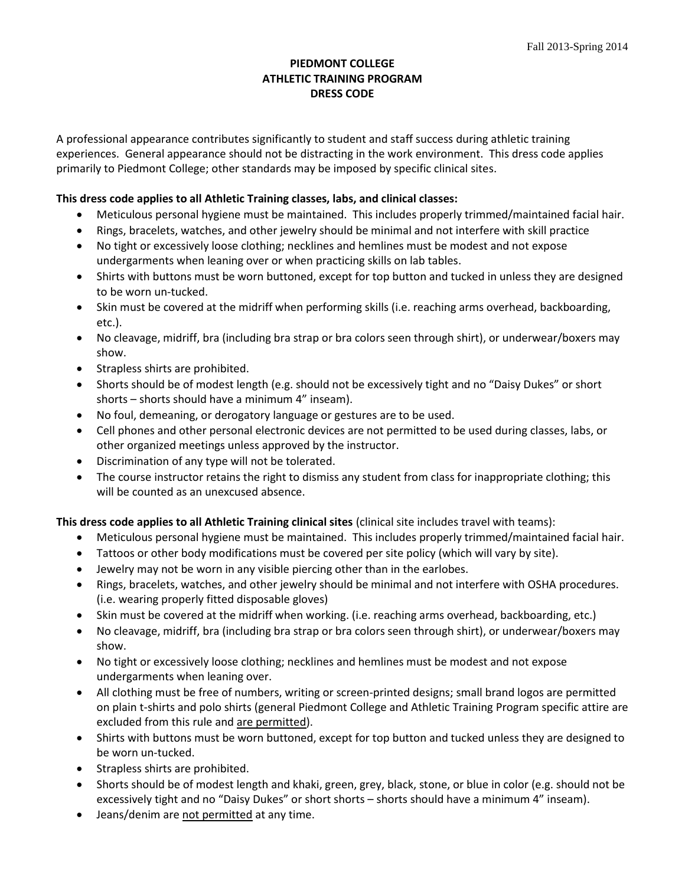# **PIEDMONT COLLEGE ATHLETIC TRAINING PROGRAM DRESS CODE**

A professional appearance contributes significantly to student and staff success during athletic training experiences. General appearance should not be distracting in the work environment. This dress code applies primarily to Piedmont College; other standards may be imposed by specific clinical sites.

# **This dress code applies to all Athletic Training classes, labs, and clinical classes:**

- Meticulous personal hygiene must be maintained. This includes properly trimmed/maintained facial hair.
- Rings, bracelets, watches, and other jewelry should be minimal and not interfere with skill practice
- No tight or excessively loose clothing; necklines and hemlines must be modest and not expose undergarments when leaning over or when practicing skills on lab tables.
- Shirts with buttons must be worn buttoned, except for top button and tucked in unless they are designed to be worn un-tucked.
- Skin must be covered at the midriff when performing skills (i.e. reaching arms overhead, backboarding, etc.).
- No cleavage, midriff, bra (including bra strap or bra colors seen through shirt), or underwear/boxers may show.
- Strapless shirts are prohibited.
- Shorts should be of modest length (e.g. should not be excessively tight and no "Daisy Dukes" or short shorts – shorts should have a minimum 4" inseam).
- No foul, demeaning, or derogatory language or gestures are to be used.
- Cell phones and other personal electronic devices are not permitted to be used during classes, labs, or other organized meetings unless approved by the instructor.
- Discrimination of any type will not be tolerated.
- The course instructor retains the right to dismiss any student from class for inappropriate clothing; this will be counted as an unexcused absence.

## **This dress code applies to all Athletic Training clinical sites** (clinical site includes travel with teams):

- Meticulous personal hygiene must be maintained. This includes properly trimmed/maintained facial hair.
- Tattoos or other body modifications must be covered per site policy (which will vary by site).
- Jewelry may not be worn in any visible piercing other than in the earlobes.
- Rings, bracelets, watches, and other jewelry should be minimal and not interfere with OSHA procedures. (i.e. wearing properly fitted disposable gloves)
- Skin must be covered at the midriff when working. (i.e. reaching arms overhead, backboarding, etc.)
- No cleavage, midriff, bra (including bra strap or bra colors seen through shirt), or underwear/boxers may show.
- No tight or excessively loose clothing; necklines and hemlines must be modest and not expose undergarments when leaning over.
- All clothing must be free of numbers, writing or screen-printed designs; small brand logos are permitted on plain t-shirts and polo shirts (general Piedmont College and Athletic Training Program specific attire are excluded from this rule and are permitted).
- Shirts with buttons must be worn buttoned, except for top button and tucked unless they are designed to be worn un-tucked.
- Strapless shirts are prohibited.
- Shorts should be of modest length and khaki, green, grey, black, stone, or blue in color (e.g. should not be excessively tight and no "Daisy Dukes" or short shorts – shorts should have a minimum 4" inseam).
- Jeans/denim are not permitted at any time.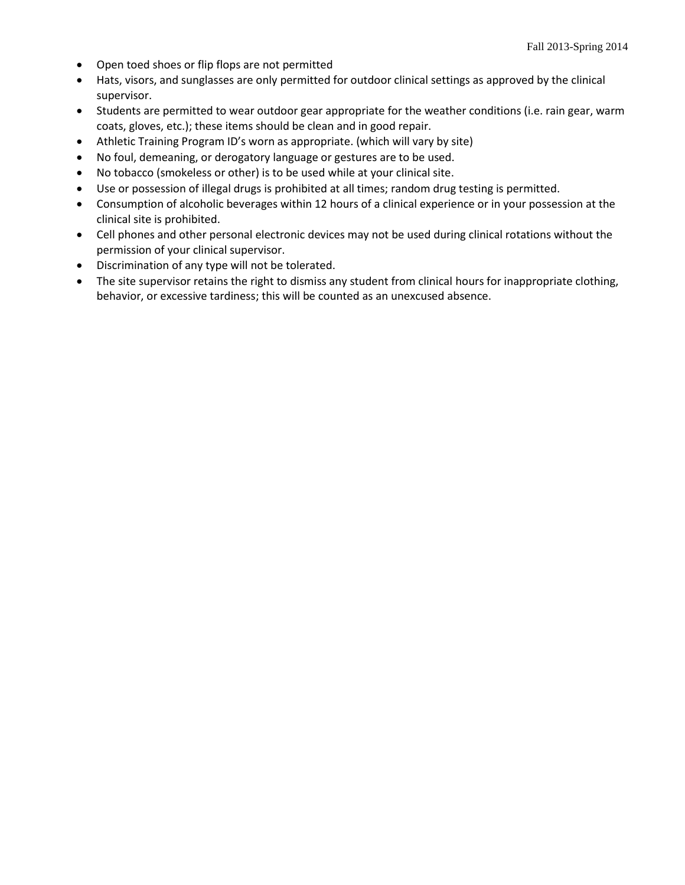- Open toed shoes or flip flops are not permitted
- Hats, visors, and sunglasses are only permitted for outdoor clinical settings as approved by the clinical supervisor.
- Students are permitted to wear outdoor gear appropriate for the weather conditions (i.e. rain gear, warm coats, gloves, etc.); these items should be clean and in good repair.
- Athletic Training Program ID's worn as appropriate. (which will vary by site)
- No foul, demeaning, or derogatory language or gestures are to be used.
- No tobacco (smokeless or other) is to be used while at your clinical site.
- Use or possession of illegal drugs is prohibited at all times; random drug testing is permitted.
- Consumption of alcoholic beverages within 12 hours of a clinical experience or in your possession at the clinical site is prohibited.
- Cell phones and other personal electronic devices may not be used during clinical rotations without the permission of your clinical supervisor.
- Discrimination of any type will not be tolerated.
- The site supervisor retains the right to dismiss any student from clinical hours for inappropriate clothing, behavior, or excessive tardiness; this will be counted as an unexcused absence.